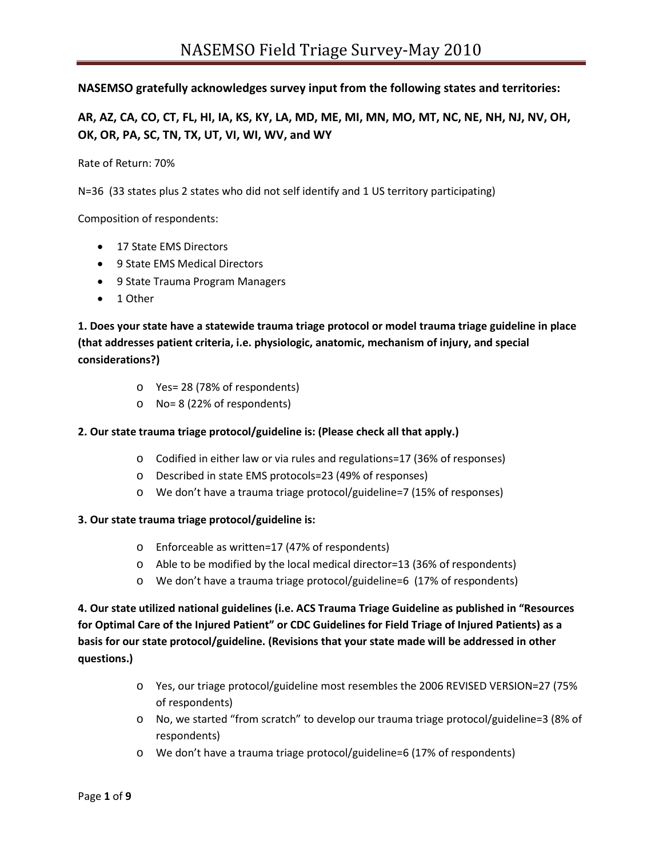### **NASEMSO gratefully acknowledges survey input from the following states and territories:**

**AR, AZ, CA, CO, CT, FL, HI, IA, KS, KY, LA, MD, ME, MI, MN, MO, MT, NC, NE, NH, NJ, NV, OH, OK, OR, PA, SC, TN, TX, UT, VI, WI, WV, and WY**

Rate of Return: 70%

N=36 (33 states plus 2 states who did not self identify and 1 US territory participating)

Composition of respondents:

- 17 State EMS Directors
- 9 State EMS Medical Directors
- 9 State Trauma Program Managers
- 1 Other

**1. Does your state have a statewide trauma triage protocol or model trauma triage guideline in place (that addresses patient criteria, i.e. physiologic, anatomic, mechanism of injury, and special considerations?)**

- o Yes= 28 (78% of respondents)
- o No= 8 (22% of respondents)

#### **2. Our state trauma triage protocol/guideline is: (Please check all that apply.)**

- o Codified in either law or via rules and regulations=17 (36% of responses)
- o Described in state EMS protocols=23 (49% of responses)
- o We don't have a trauma triage protocol/guideline=7 (15% of responses)

#### **3. Our state trauma triage protocol/guideline is:**

- o Enforceable as written=17 (47% of respondents)
- o Able to be modified by the local medical director=13 (36% of respondents)
- o We don't have a trauma triage protocol/guideline=6 (17% of respondents)

**4. Our state utilized national guidelines (i.e. ACS Trauma Triage Guideline as published in "Resources for Optimal Care of the Injured Patient" or CDC Guidelines for Field Triage of Injured Patients) as a basis for our state protocol/guideline. (Revisions that your state made will be addressed in other questions.)**

- o Yes, our triage protocol/guideline most resembles the 2006 REVISED VERSION=27 (75% of respondents)
- o No, we started "from scratch" to develop our trauma triage protocol/guideline=3 (8% of respondents)
- o We don't have a trauma triage protocol/guideline=6 (17% of respondents)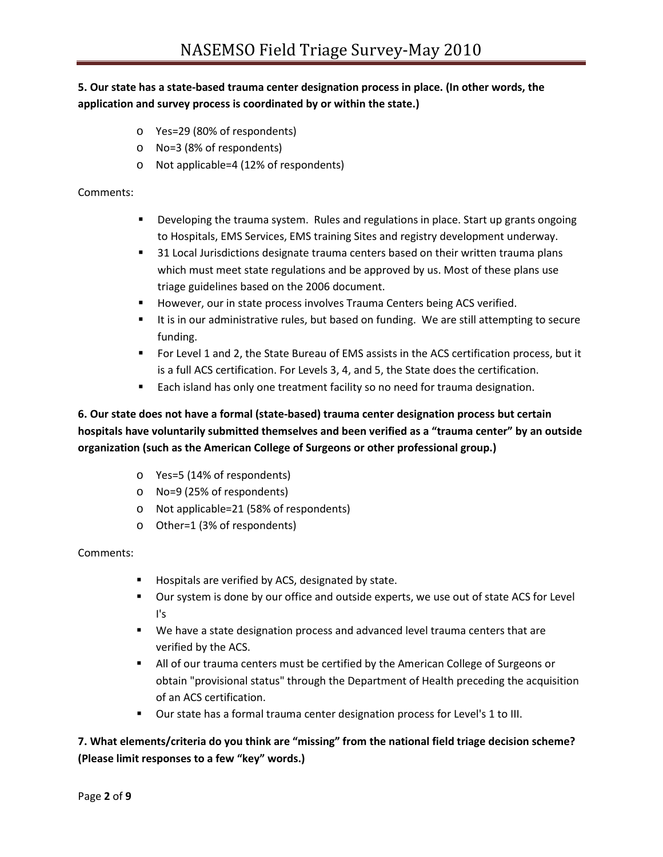# **5. Our state has a state-based trauma center designation process in place. (In other words, the application and survey process is coordinated by or within the state.)**

- o Yes=29 (80% of respondents)
- o No=3 (8% of respondents)
- o Not applicable=4 (12% of respondents)

#### Comments:

- Developing the trauma system. Rules and regulations in place. Start up grants ongoing to Hospitals, EMS Services, EMS training Sites and registry development underway.
- 31 Local Jurisdictions designate trauma centers based on their written trauma plans which must meet state regulations and be approved by us. Most of these plans use triage guidelines based on the 2006 document.
- **However, our in state process involves Trauma Centers being ACS verified.**
- It is in our administrative rules, but based on funding. We are still attempting to secure funding.
- For Level 1 and 2, the State Bureau of EMS assists in the ACS certification process, but it is a full ACS certification. For Levels 3, 4, and 5, the State does the certification.
- **Each island has only one treatment facility so no need for trauma designation.**

# **6. Our state does not have a formal (state-based) trauma center designation process but certain hospitals have voluntarily submitted themselves and been verified as a "trauma center" by an outside organization (such as the American College of Surgeons or other professional group.)**

- o Yes=5 (14% of respondents)
- o No=9 (25% of respondents)
- o Not applicable=21 (58% of respondents)
- o Other=1 (3% of respondents)

#### Comments:

- **Hospitals are verified by ACS, designated by state.**
- **Dur system is done by our office and outside experts, we use out of state ACS for Level** I's
- **We have a state designation process and advanced level trauma centers that are** verified by the ACS.
- All of our trauma centers must be certified by the American College of Surgeons or obtain "provisional status" through the Department of Health preceding the acquisition of an ACS certification.
- **Dur state has a formal trauma center designation process for Level's 1 to III.**

## **7. What elements/criteria do you think are "missing" from the national field triage decision scheme? (Please limit responses to a few "key" words.)**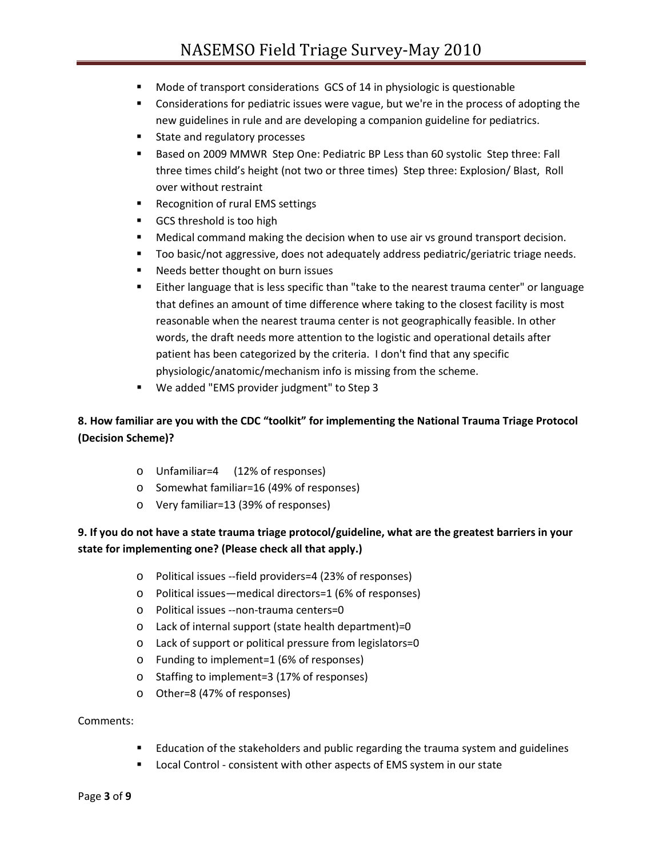- **Mode of transport considerations GCS of 14 in physiologic is questionable**
- **Considerations for pediatric issues were vague, but we're in the process of adopting the** new guidelines in rule and are developing a companion guideline for pediatrics.
- State and regulatory processes
- **Based on 2009 MMWR Step One: Pediatric BP Less than 60 systolic Step three: Fall** three times child's height (not two or three times) Step three: Explosion/ Blast, Roll over without restraint
- **Recognition of rural EMS settings**
- GCS threshold is too high
- **Medical command making the decision when to use air vs ground transport decision.**
- **Too basic/not aggressive, does not adequately address pediatric/geriatric triage needs.**
- **Needs better thought on burn issues**
- Either language that is less specific than "take to the nearest trauma center" or language that defines an amount of time difference where taking to the closest facility is most reasonable when the nearest trauma center is not geographically feasible. In other words, the draft needs more attention to the logistic and operational details after patient has been categorized by the criteria. I don't find that any specific physiologic/anatomic/mechanism info is missing from the scheme.
- We added "EMS provider judgment" to Step 3

# **8. How familiar are you with the CDC "toolkit" for implementing the National Trauma Triage Protocol (Decision Scheme)?**

- o Unfamiliar=4 (12% of responses)
- o Somewhat familiar=16 (49% of responses)
- o Very familiar=13 (39% of responses)

## **9. If you do not have a state trauma triage protocol/guideline, what are the greatest barriers in your state for implementing one? (Please check all that apply.)**

- o Political issues --field providers=4 (23% of responses)
- o Political issues—medical directors=1 (6% of responses)
- o Political issues --non-trauma centers=0
- o Lack of internal support (state health department)=0
- o Lack of support or political pressure from legislators=0
- o Funding to implement=1 (6% of responses)
- o Staffing to implement=3 (17% of responses)
- o Other=8 (47% of responses)

#### Comments:

- **E** Education of the stakeholders and public regarding the trauma system and guidelines
- **Local Control consistent with other aspects of EMS system in our state**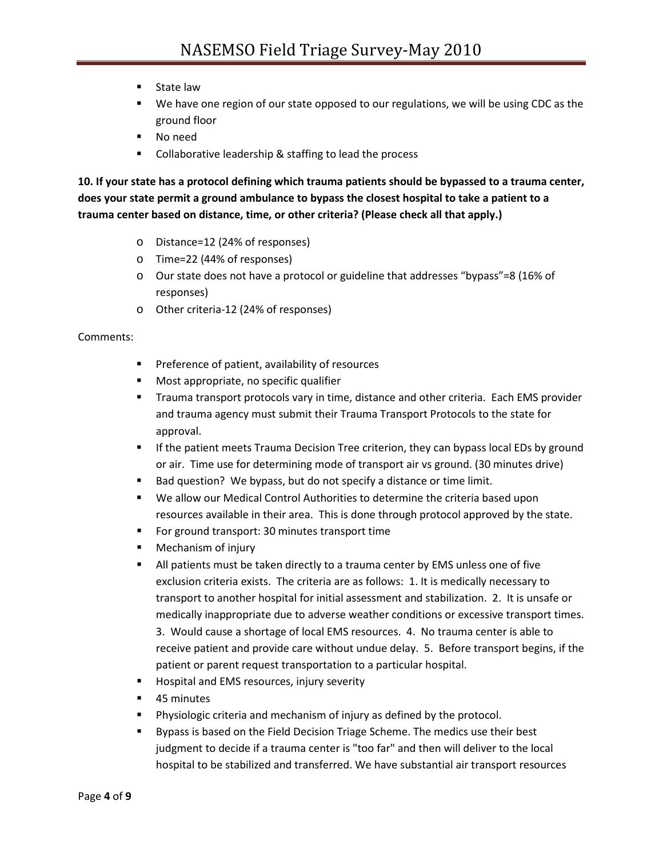- **E** State law
- We have one region of our state opposed to our regulations, we will be using CDC as the ground floor
- No need
- **Collaborative leadership & staffing to lead the process**

**10. If your state has a protocol defining which trauma patients should be bypassed to a trauma center, does your state permit a ground ambulance to bypass the closest hospital to take a patient to a trauma center based on distance, time, or other criteria? (Please check all that apply.)**

- o Distance=12 (24% of responses)
- o Time=22 (44% of responses)
- o Our state does not have a protocol or guideline that addresses "bypass"=8 (16% of responses)
- o Other criteria-12 (24% of responses)

### Comments:

- **Preference of patient, availability of resources**
- **Most appropriate, no specific qualifier**
- **Trauma transport protocols vary in time, distance and other criteria. Each EMS provider** and trauma agency must submit their Trauma Transport Protocols to the state for approval.
- **If the patient meets Trauma Decision Tree criterion, they can bypass local EDs by ground** or air. Time use for determining mode of transport air vs ground. (30 minutes drive)
- Bad question? We bypass, but do not specify a distance or time limit.
- We allow our Medical Control Authorities to determine the criteria based upon resources available in their area. This is done through protocol approved by the state.
- **For ground transport: 30 minutes transport time**
- **Nechanism of injury**
- All patients must be taken directly to a trauma center by EMS unless one of five exclusion criteria exists. The criteria are as follows: 1. It is medically necessary to transport to another hospital for initial assessment and stabilization. 2. It is unsafe or medically inappropriate due to adverse weather conditions or excessive transport times.

3. Would cause a shortage of local EMS resources. 4. No trauma center is able to receive patient and provide care without undue delay. 5. Before transport begins, if the patient or parent request transportation to a particular hospital.

- **Hospital and EMS resources, injury severity**
- 45 minutes
- **Physiologic criteria and mechanism of injury as defined by the protocol.**
- **Bypass is based on the Field Decision Triage Scheme. The medics use their best** judgment to decide if a trauma center is "too far" and then will deliver to the local hospital to be stabilized and transferred. We have substantial air transport resources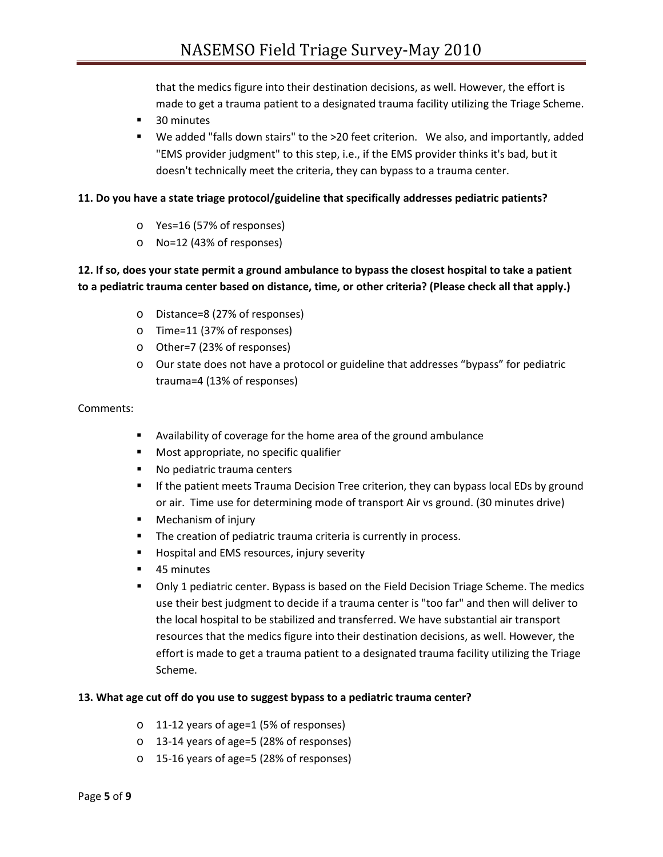that the medics figure into their destination decisions, as well. However, the effort is made to get a trauma patient to a designated trauma facility utilizing the Triage Scheme.

- 30 minutes
- We added "falls down stairs" to the >20 feet criterion. We also, and importantly, added "EMS provider judgment" to this step, i.e., if the EMS provider thinks it's bad, but it doesn't technically meet the criteria, they can bypass to a trauma center.

#### **11. Do you have a state triage protocol/guideline that specifically addresses pediatric patients?**

- o Yes=16 (57% of responses)
- o No=12 (43% of responses)

# **12. If so, does your state permit a ground ambulance to bypass the closest hospital to take a patient to a pediatric trauma center based on distance, time, or other criteria? (Please check all that apply.)**

- o Distance=8 (27% of responses)
- o Time=11 (37% of responses)
- o Other=7 (23% of responses)
- o Our state does not have a protocol or guideline that addresses "bypass" for pediatric trauma=4 (13% of responses)

#### Comments:

- Availability of coverage for the home area of the ground ambulance
- **Most appropriate, no specific qualifier**
- No pediatric trauma centers
- **If the patient meets Trauma Decision Tree criterion, they can bypass local EDs by ground** or air. Time use for determining mode of transport Air vs ground. (30 minutes drive)
- **Mechanism of injury**
- **The creation of pediatric trauma criteria is currently in process.**
- **Hospital and EMS resources, injury severity**
- 45 minutes
- Only 1 pediatric center. Bypass is based on the Field Decision Triage Scheme. The medics use their best judgment to decide if a trauma center is "too far" and then will deliver to the local hospital to be stabilized and transferred. We have substantial air transport resources that the medics figure into their destination decisions, as well. However, the effort is made to get a trauma patient to a designated trauma facility utilizing the Triage Scheme.

#### **13. What age cut off do you use to suggest bypass to a pediatric trauma center?**

- o 11-12 years of age=1 (5% of responses)
- o 13-14 years of age=5 (28% of responses)
- o 15-16 years of age=5 (28% of responses)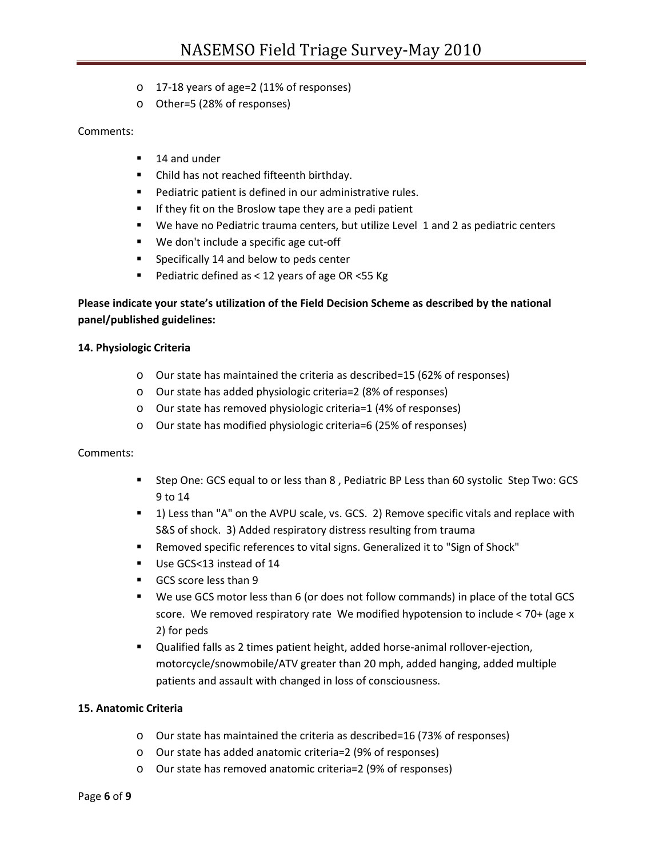- o 17-18 years of age=2 (11% of responses)
- o Other=5 (28% of responses)

### Comments:

- 14 and under
- Child has not reached fifteenth birthday.
- **Pediatric patient is defined in our administrative rules.**
- **If they fit on the Broslow tape they are a pedi patient**
- We have no Pediatric trauma centers, but utilize Level 1 and 2 as pediatric centers
- We don't include a specific age cut-off
- **Specifically 14 and below to peds center**
- Pediatric defined as  $<$  12 years of age OR  $<$  55 Kg

## **Please indicate your state's utilization of the Field Decision Scheme as described by the national panel/published guidelines:**

#### **14. Physiologic Criteria**

- o Our state has maintained the criteria as described=15 (62% of responses)
- o Our state has added physiologic criteria=2 (8% of responses)
- o Our state has removed physiologic criteria=1 (4% of responses)
- o Our state has modified physiologic criteria=6 (25% of responses)

#### Comments:

- Step One: GCS equal to or less than 8 , Pediatric BP Less than 60 systolic Step Two: GCS 9 to 14
- 1) Less than "A" on the AVPU scale, vs. GCS. 2) Remove specific vitals and replace with S&S of shock. 3) Added respiratory distress resulting from trauma
- Removed specific references to vital signs. Generalized it to "Sign of Shock"
- Use GCS<13 instead of 14
- GCS score less than 9
- We use GCS motor less than 6 (or does not follow commands) in place of the total GCS score. We removed respiratory rate We modified hypotension to include < 70+ (age x 2) for peds
- Qualified falls as 2 times patient height, added horse-animal rollover-ejection, motorcycle/snowmobile/ATV greater than 20 mph, added hanging, added multiple patients and assault with changed in loss of consciousness.

#### **15. Anatomic Criteria**

- o Our state has maintained the criteria as described=16 (73% of responses)
- o Our state has added anatomic criteria=2 (9% of responses)
- o Our state has removed anatomic criteria=2 (9% of responses)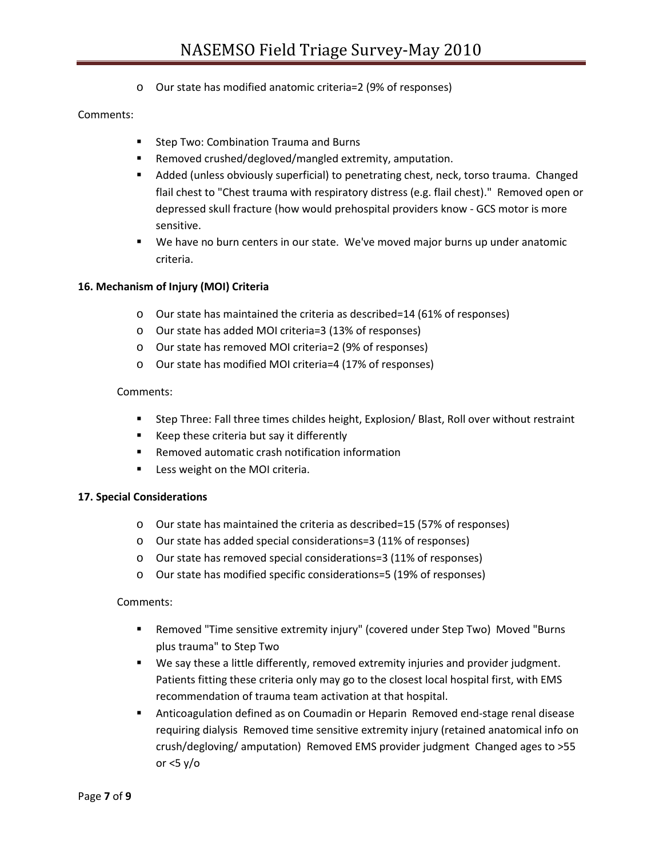o Our state has modified anatomic criteria=2 (9% of responses)

### Comments:

- **Step Two: Combination Trauma and Burns**
- Removed crushed/degloved/mangled extremity, amputation.
- Added (unless obviously superficial) to penetrating chest, neck, torso trauma. Changed flail chest to "Chest trauma with respiratory distress (e.g. flail chest)." Removed open or depressed skull fracture (how would prehospital providers know - GCS motor is more sensitive.
- We have no burn centers in our state. We've moved major burns up under anatomic criteria.

#### **16. Mechanism of Injury (MOI) Criteria**

- o Our state has maintained the criteria as described=14 (61% of responses)
- o Our state has added MOI criteria=3 (13% of responses)
- o Our state has removed MOI criteria=2 (9% of responses)
- o Our state has modified MOI criteria=4 (17% of responses)

#### Comments:

- Step Three: Fall three times childes height, Explosion/ Blast, Roll over without restraint
- Keep these criteria but say it differently
- Removed automatic crash notification information
- **Less weight on the MOI criteria.**

#### **17. Special Considerations**

- o Our state has maintained the criteria as described=15 (57% of responses)
- o Our state has added special considerations=3 (11% of responses)
- o Our state has removed special considerations=3 (11% of responses)
- o Our state has modified specific considerations=5 (19% of responses)

#### Comments:

- Removed "Time sensitive extremity injury" (covered under Step Two) Moved "Burns plus trauma" to Step Two
- We say these a little differently, removed extremity injuries and provider judgment. Patients fitting these criteria only may go to the closest local hospital first, with EMS recommendation of trauma team activation at that hospital.
- Anticoagulation defined as on Coumadin or Heparin Removed end-stage renal disease requiring dialysis Removed time sensitive extremity injury (retained anatomical info on crush/degloving/ amputation) Removed EMS provider judgment Changed ages to >55 or <5 y/o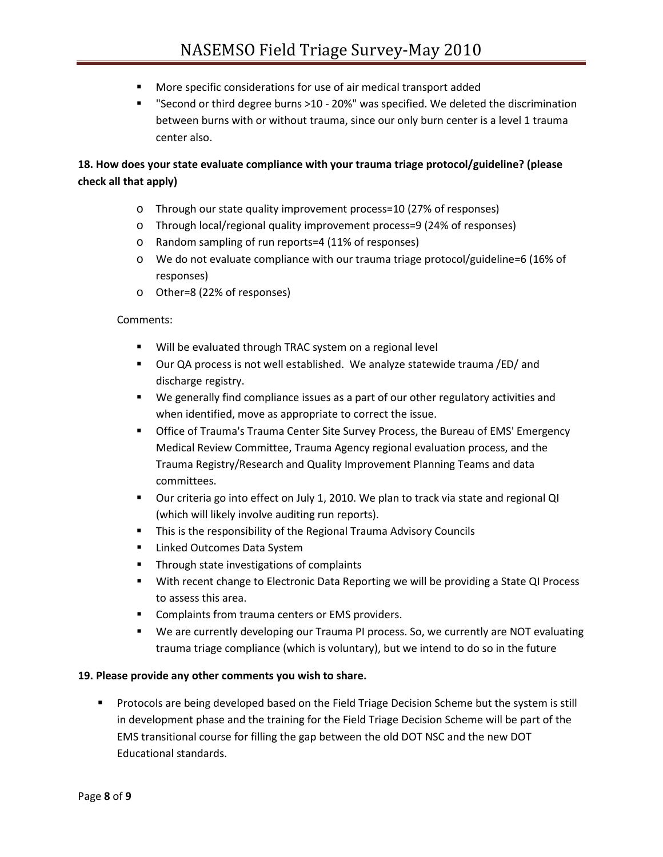- More specific considerations for use of air medical transport added
- "Second or third degree burns >10 20%" was specified. We deleted the discrimination between burns with or without trauma, since our only burn center is a level 1 trauma center also.

# **18. How does your state evaluate compliance with your trauma triage protocol/guideline? (please check all that apply)**

- o Through our state quality improvement process=10 (27% of responses)
- o Through local/regional quality improvement process=9 (24% of responses)
- o Random sampling of run reports=4 (11% of responses)
- o We do not evaluate compliance with our trauma triage protocol/guideline=6 (16% of responses)
- o Other=8 (22% of responses)

#### Comments:

- Will be evaluated through TRAC system on a regional level
- Our QA process is not well established. We analyze statewide trauma /ED/ and discharge registry.
- We generally find compliance issues as a part of our other regulatory activities and when identified, move as appropriate to correct the issue.
- Office of Trauma's Trauma Center Site Survey Process, the Bureau of EMS' Emergency Medical Review Committee, Trauma Agency regional evaluation process, and the Trauma Registry/Research and Quality Improvement Planning Teams and data committees.
- Our criteria go into effect on July 1, 2010. We plan to track via state and regional QI (which will likely involve auditing run reports).
- **This is the responsibility of the Regional Trauma Advisory Councils**
- **E** Linked Outcomes Data System
- **Through state investigations of complaints**
- **With recent change to Electronic Data Reporting we will be providing a State QI Process** to assess this area.
- **Complaints from trauma centers or EMS providers.**
- **We are currently developing our Trauma PI process. So, we currently are NOT evaluating** trauma triage compliance (which is voluntary), but we intend to do so in the future

#### **19. Please provide any other comments you wish to share.**

**Protocols are being developed based on the Field Triage Decision Scheme but the system is still** in development phase and the training for the Field Triage Decision Scheme will be part of the EMS transitional course for filling the gap between the old DOT NSC and the new DOT Educational standards.